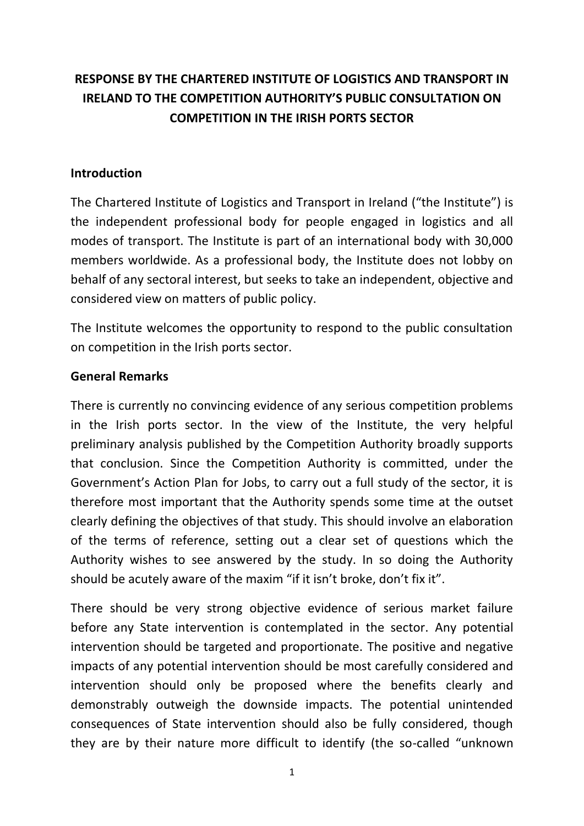# **RESPONSE BY THE CHARTERED INSTITUTE OF LOGISTICS AND TRANSPORT IN IRELAND TO THE COMPETITION AUTHORITY'S PUBLIC CONSULTATION ON COMPETITION IN THE IRISH PORTS SECTOR**

#### **Introduction**

The Chartered Institute of Logistics and Transport in Ireland ("the Institute") is the independent professional body for people engaged in logistics and all modes of transport. The Institute is part of an international body with 30,000 members worldwide. As a professional body, the Institute does not lobby on behalf of any sectoral interest, but seeks to take an independent, objective and considered view on matters of public policy.

The Institute welcomes the opportunity to respond to the public consultation on competition in the Irish ports sector.

#### **General Remarks**

There is currently no convincing evidence of any serious competition problems in the Irish ports sector. In the view of the Institute, the very helpful preliminary analysis published by the Competition Authority broadly supports that conclusion. Since the Competition Authority is committed, under the Government's Action Plan for Jobs, to carry out a full study of the sector, it is therefore most important that the Authority spends some time at the outset clearly defining the objectives of that study. This should involve an elaboration of the terms of reference, setting out a clear set of questions which the Authority wishes to see answered by the study. In so doing the Authority should be acutely aware of the maxim "if it isn't broke, don't fix it".

There should be very strong objective evidence of serious market failure before any State intervention is contemplated in the sector. Any potential intervention should be targeted and proportionate. The positive and negative impacts of any potential intervention should be most carefully considered and intervention should only be proposed where the benefits clearly and demonstrably outweigh the downside impacts. The potential unintended consequences of State intervention should also be fully considered, though they are by their nature more difficult to identify (the so-called "unknown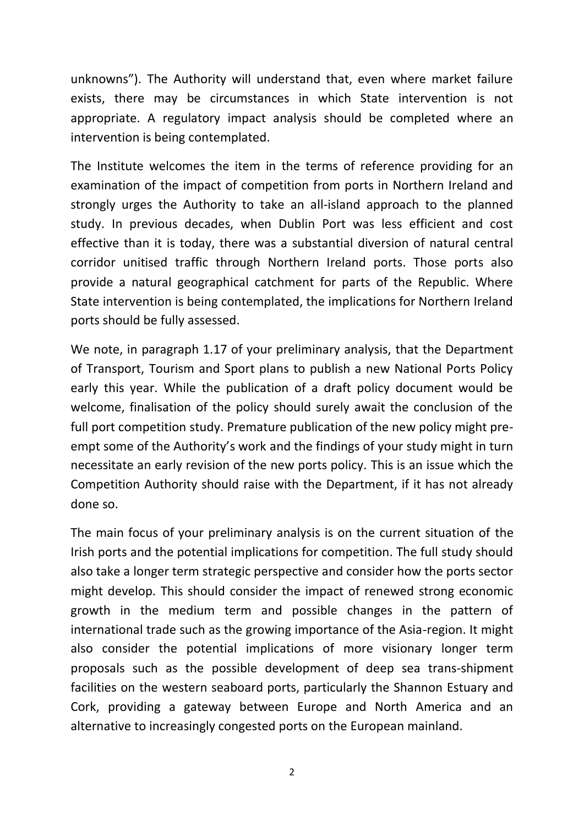unknowns"). The Authority will understand that, even where market failure exists, there may be circumstances in which State intervention is not appropriate. A regulatory impact analysis should be completed where an intervention is being contemplated.

The Institute welcomes the item in the terms of reference providing for an examination of the impact of competition from ports in Northern Ireland and strongly urges the Authority to take an all-island approach to the planned study. In previous decades, when Dublin Port was less efficient and cost effective than it is today, there was a substantial diversion of natural central corridor unitised traffic through Northern Ireland ports. Those ports also provide a natural geographical catchment for parts of the Republic. Where State intervention is being contemplated, the implications for Northern Ireland ports should be fully assessed.

We note, in paragraph 1.17 of your preliminary analysis, that the Department of Transport, Tourism and Sport plans to publish a new National Ports Policy early this year. While the publication of a draft policy document would be welcome, finalisation of the policy should surely await the conclusion of the full port competition study. Premature publication of the new policy might preempt some of the Authority's work and the findings of your study might in turn necessitate an early revision of the new ports policy. This is an issue which the Competition Authority should raise with the Department, if it has not already done so.

The main focus of your preliminary analysis is on the current situation of the Irish ports and the potential implications for competition. The full study should also take a longer term strategic perspective and consider how the ports sector might develop. This should consider the impact of renewed strong economic growth in the medium term and possible changes in the pattern of international trade such as the growing importance of the Asia-region. It might also consider the potential implications of more visionary longer term proposals such as the possible development of deep sea trans-shipment facilities on the western seaboard ports, particularly the Shannon Estuary and Cork, providing a gateway between Europe and North America and an alternative to increasingly congested ports on the European mainland.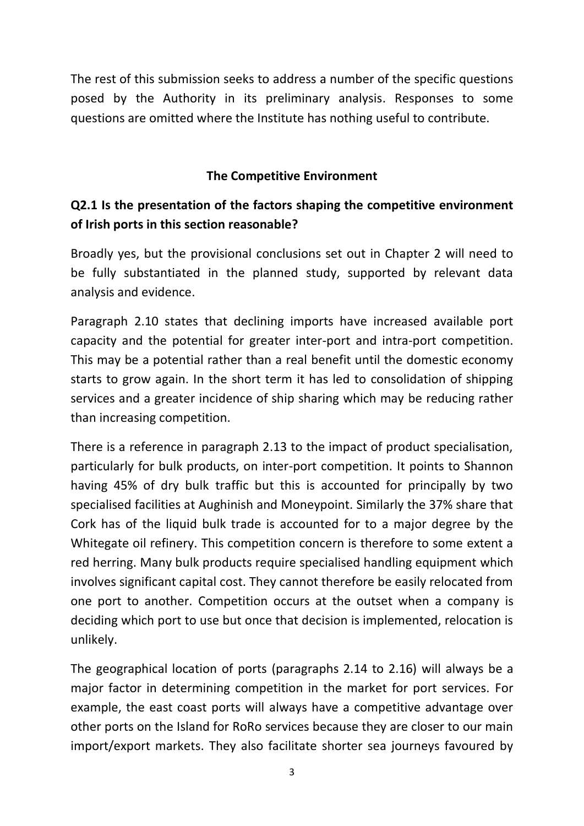The rest of this submission seeks to address a number of the specific questions posed by the Authority in its preliminary analysis. Responses to some questions are omitted where the Institute has nothing useful to contribute.

#### **The Competitive Environment**

## **Q2.1 Is the presentation of the factors shaping the competitive environment of Irish ports in this section reasonable?**

Broadly yes, but the provisional conclusions set out in Chapter 2 will need to be fully substantiated in the planned study, supported by relevant data analysis and evidence.

Paragraph 2.10 states that declining imports have increased available port capacity and the potential for greater inter-port and intra-port competition. This may be a potential rather than a real benefit until the domestic economy starts to grow again. In the short term it has led to consolidation of shipping services and a greater incidence of ship sharing which may be reducing rather than increasing competition.

There is a reference in paragraph 2.13 to the impact of product specialisation, particularly for bulk products, on inter-port competition. It points to Shannon having 45% of dry bulk traffic but this is accounted for principally by two specialised facilities at Aughinish and Moneypoint. Similarly the 37% share that Cork has of the liquid bulk trade is accounted for to a major degree by the Whitegate oil refinery. This competition concern is therefore to some extent a red herring. Many bulk products require specialised handling equipment which involves significant capital cost. They cannot therefore be easily relocated from one port to another. Competition occurs at the outset when a company is deciding which port to use but once that decision is implemented, relocation is unlikely.

The geographical location of ports (paragraphs 2.14 to 2.16) will always be a major factor in determining competition in the market for port services. For example, the east coast ports will always have a competitive advantage over other ports on the Island for RoRo services because they are closer to our main import/export markets. They also facilitate shorter sea journeys favoured by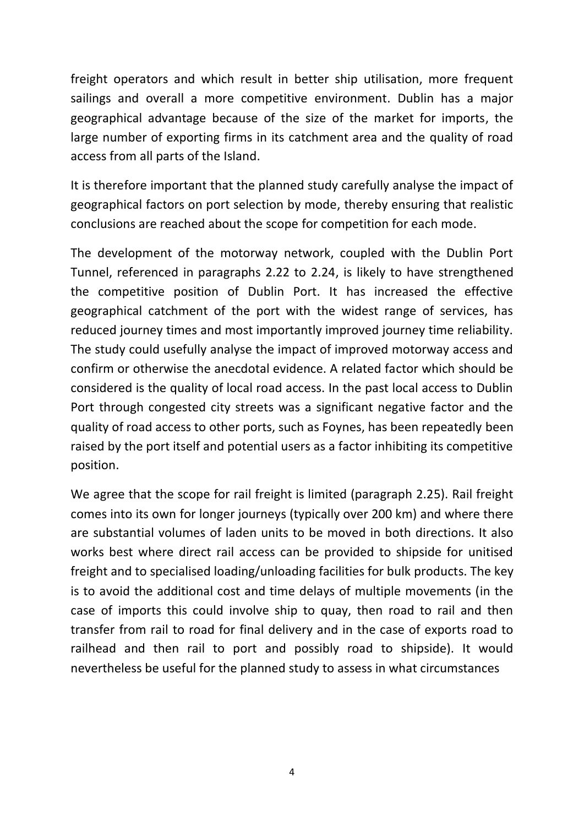freight operators and which result in better ship utilisation, more frequent sailings and overall a more competitive environment. Dublin has a major geographical advantage because of the size of the market for imports, the large number of exporting firms in its catchment area and the quality of road access from all parts of the Island.

It is therefore important that the planned study carefully analyse the impact of geographical factors on port selection by mode, thereby ensuring that realistic conclusions are reached about the scope for competition for each mode.

The development of the motorway network, coupled with the Dublin Port Tunnel, referenced in paragraphs 2.22 to 2.24, is likely to have strengthened the competitive position of Dublin Port. It has increased the effective geographical catchment of the port with the widest range of services, has reduced journey times and most importantly improved journey time reliability. The study could usefully analyse the impact of improved motorway access and confirm or otherwise the anecdotal evidence. A related factor which should be considered is the quality of local road access. In the past local access to Dublin Port through congested city streets was a significant negative factor and the quality of road access to other ports, such as Foynes, has been repeatedly been raised by the port itself and potential users as a factor inhibiting its competitive position.

We agree that the scope for rail freight is limited (paragraph 2.25). Rail freight comes into its own for longer journeys (typically over 200 km) and where there are substantial volumes of laden units to be moved in both directions. It also works best where direct rail access can be provided to shipside for unitised freight and to specialised loading/unloading facilities for bulk products. The key is to avoid the additional cost and time delays of multiple movements (in the case of imports this could involve ship to quay, then road to rail and then transfer from rail to road for final delivery and in the case of exports road to railhead and then rail to port and possibly road to shipside). It would nevertheless be useful for the planned study to assess in what circumstances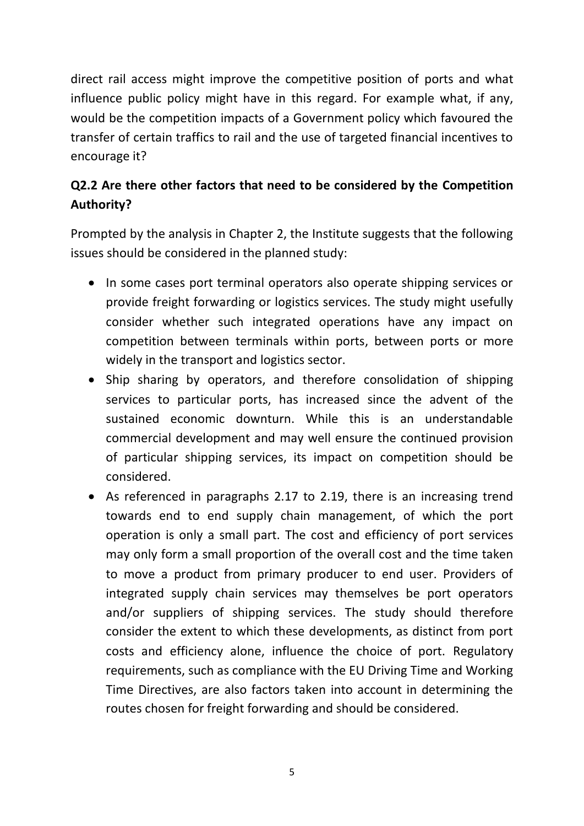direct rail access might improve the competitive position of ports and what influence public policy might have in this regard. For example what, if any, would be the competition impacts of a Government policy which favoured the transfer of certain traffics to rail and the use of targeted financial incentives to encourage it?

# **Q2.2 Are there other factors that need to be considered by the Competition Authority?**

Prompted by the analysis in Chapter 2, the Institute suggests that the following issues should be considered in the planned study:

- In some cases port terminal operators also operate shipping services or provide freight forwarding or logistics services. The study might usefully consider whether such integrated operations have any impact on competition between terminals within ports, between ports or more widely in the transport and logistics sector.
- Ship sharing by operators, and therefore consolidation of shipping services to particular ports, has increased since the advent of the sustained economic downturn. While this is an understandable commercial development and may well ensure the continued provision of particular shipping services, its impact on competition should be considered.
- As referenced in paragraphs 2.17 to 2.19, there is an increasing trend towards end to end supply chain management, of which the port operation is only a small part. The cost and efficiency of port services may only form a small proportion of the overall cost and the time taken to move a product from primary producer to end user. Providers of integrated supply chain services may themselves be port operators and/or suppliers of shipping services. The study should therefore consider the extent to which these developments, as distinct from port costs and efficiency alone, influence the choice of port. Regulatory requirements, such as compliance with the EU Driving Time and Working Time Directives, are also factors taken into account in determining the routes chosen for freight forwarding and should be considered.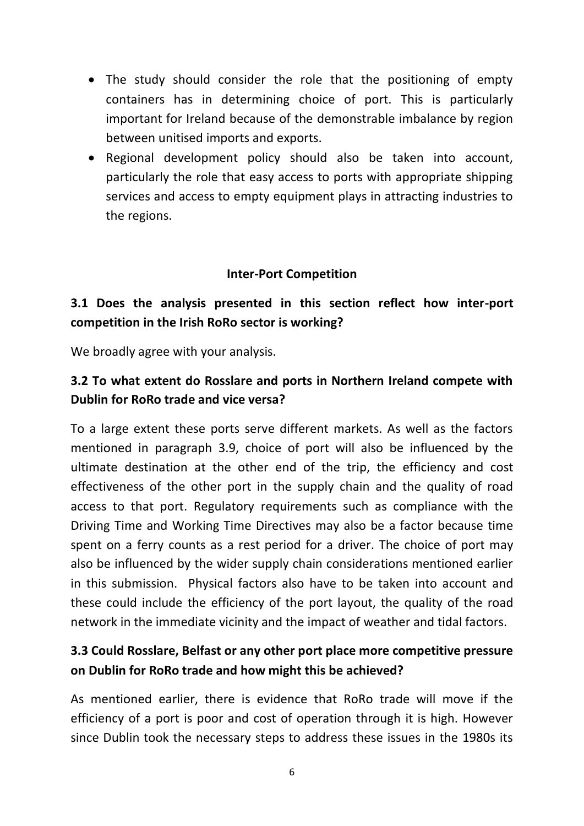- The study should consider the role that the positioning of empty containers has in determining choice of port. This is particularly important for Ireland because of the demonstrable imbalance by region between unitised imports and exports.
- Regional development policy should also be taken into account, particularly the role that easy access to ports with appropriate shipping services and access to empty equipment plays in attracting industries to the regions.

#### **Inter-Port Competition**

## **3.1 Does the analysis presented in this section reflect how inter-port competition in the Irish RoRo sector is working?**

We broadly agree with your analysis.

## **3.2 To what extent do Rosslare and ports in Northern Ireland compete with Dublin for RoRo trade and vice versa?**

To a large extent these ports serve different markets. As well as the factors mentioned in paragraph 3.9, choice of port will also be influenced by the ultimate destination at the other end of the trip, the efficiency and cost effectiveness of the other port in the supply chain and the quality of road access to that port. Regulatory requirements such as compliance with the Driving Time and Working Time Directives may also be a factor because time spent on a ferry counts as a rest period for a driver. The choice of port may also be influenced by the wider supply chain considerations mentioned earlier in this submission. Physical factors also have to be taken into account and these could include the efficiency of the port layout, the quality of the road network in the immediate vicinity and the impact of weather and tidal factors.

### **3.3 Could Rosslare, Belfast or any other port place more competitive pressure on Dublin for RoRo trade and how might this be achieved?**

As mentioned earlier, there is evidence that RoRo trade will move if the efficiency of a port is poor and cost of operation through it is high. However since Dublin took the necessary steps to address these issues in the 1980s its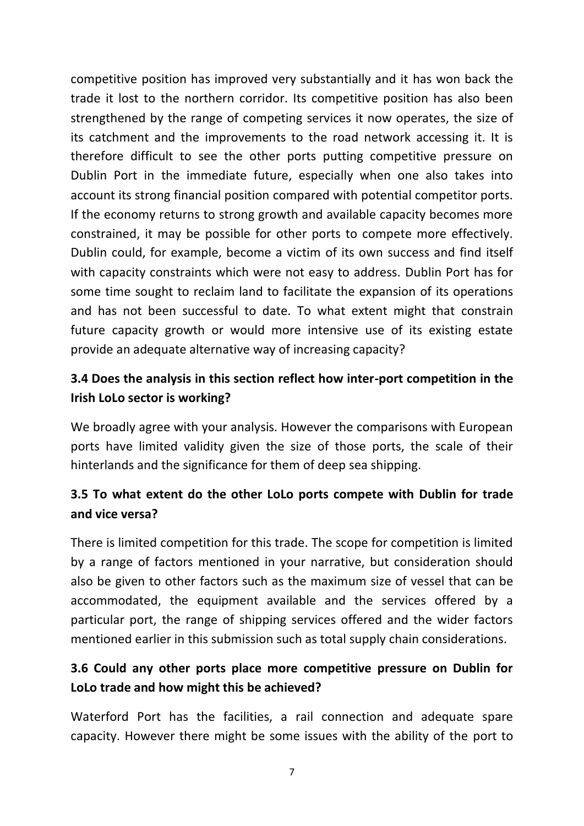competitive position has improved very substantially and it has won back the trade it lost to the northern corridor. Its competitive position has also been strengthened by the range of competing services it now operates, the size of its catchment and the improvements to the road network accessing it. It is therefore difficult to see the other ports putting competitive pressure on Dublin Port in the immediate future, especially when one also takes into account its strong financial position compared with potential competitor ports. If the economy returns to strong growth and available capacity becomes more constrained, it may be possible for other ports to compete more effectively. Dublin could, for example, become a victim of its own success and find itself with capacity constraints which were not easy to address. Dublin Port has for some time sought to reclaim land to facilitate the expansion of its operations and has not been successful to date. To what extent might that constrain future capacity growth or would more intensive use of its existing estate provide an adequate alternative way of increasing capacity?

## **3.4 Does the analysis in this section reflect how inter-port competition in the Irish LoLo sector is working?**

We broadly agree with your analysis. However the comparisons with European ports have limited validity given the size of those ports, the scale of their hinterlands and the significance for them of deep sea shipping.

## **3.5 To what extent do the other LoLo ports compete with Dublin for trade and vice versa?**

There is limited competition for this trade. The scope for competition is limited by a range of factors mentioned in your narrative, but consideration should also be given to other factors such as the maximum size of vessel that can be accommodated, the equipment available and the services offered by a particular port, the range of shipping services offered and the wider factors mentioned earlier in this submission such as total supply chain considerations.

## **3.6 Could any other ports place more competitive pressure on Dublin for LoLo trade and how might this be achieved?**

Waterford Port has the facilities, a rail connection and adequate spare capacity. However there might be some issues with the ability of the port to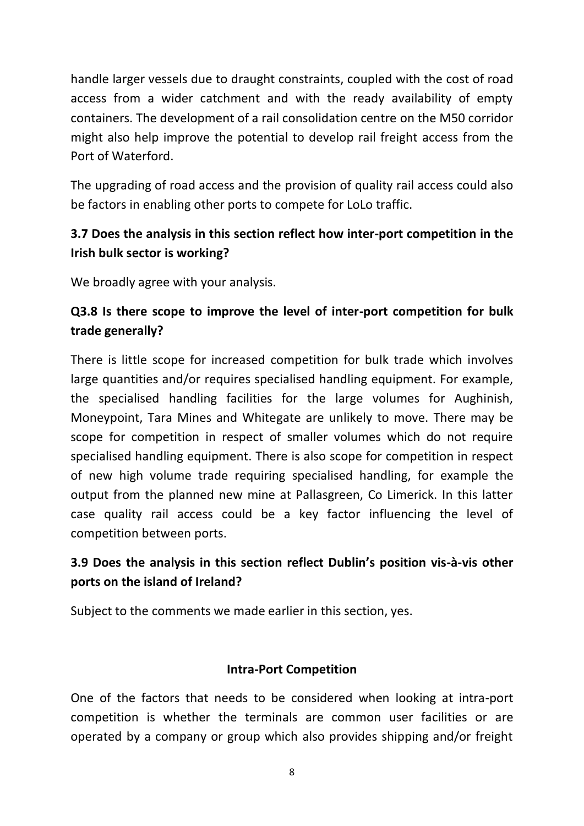handle larger vessels due to draught constraints, coupled with the cost of road access from a wider catchment and with the ready availability of empty containers. The development of a rail consolidation centre on the M50 corridor might also help improve the potential to develop rail freight access from the Port of Waterford.

The upgrading of road access and the provision of quality rail access could also be factors in enabling other ports to compete for LoLo traffic.

### **3.7 Does the analysis in this section reflect how inter-port competition in the Irish bulk sector is working?**

We broadly agree with your analysis.

## **Q3.8 Is there scope to improve the level of inter-port competition for bulk trade generally?**

There is little scope for increased competition for bulk trade which involves large quantities and/or requires specialised handling equipment. For example, the specialised handling facilities for the large volumes for Aughinish, Moneypoint, Tara Mines and Whitegate are unlikely to move. There may be scope for competition in respect of smaller volumes which do not require specialised handling equipment. There is also scope for competition in respect of new high volume trade requiring specialised handling, for example the output from the planned new mine at Pallasgreen, Co Limerick. In this latter case quality rail access could be a key factor influencing the level of competition between ports.

## **3.9 Does the analysis in this section reflect Dublin's position vis-à-vis other ports on the island of Ireland?**

Subject to the comments we made earlier in this section, yes.

#### **Intra-Port Competition**

One of the factors that needs to be considered when looking at intra-port competition is whether the terminals are common user facilities or are operated by a company or group which also provides shipping and/or freight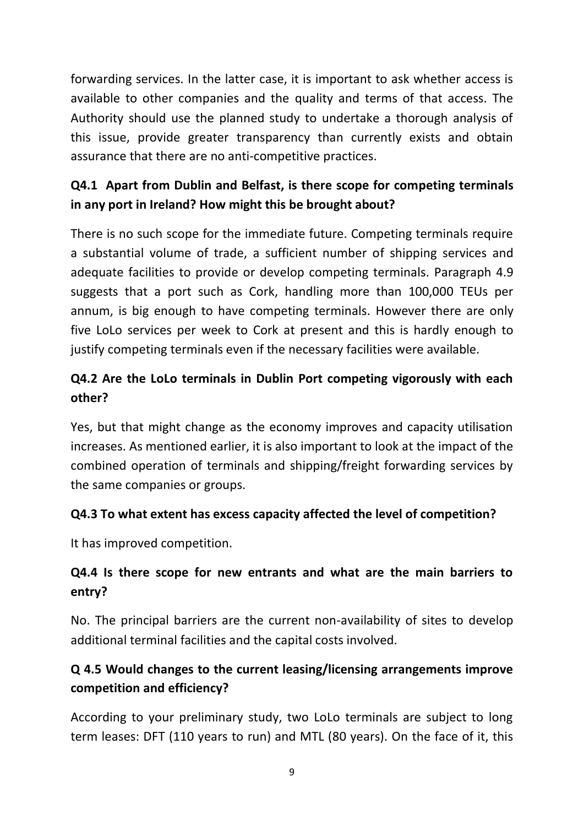forwarding services. In the latter case, it is important to ask whether access is available to other companies and the quality and terms of that access. The Authority should use the planned study to undertake a thorough analysis of this issue, provide greater transparency than currently exists and obtain assurance that there are no anti-competitive practices.

# **Q4.1 Apart from Dublin and Belfast, is there scope for competing terminals in any port in Ireland? How might this be brought about?**

There is no such scope for the immediate future. Competing terminals require a substantial volume of trade, a sufficient number of shipping services and adequate facilities to provide or develop competing terminals. Paragraph 4.9 suggests that a port such as Cork, handling more than 100,000 TEUs per annum, is big enough to have competing terminals. However there are only five LoLo services per week to Cork at present and this is hardly enough to justify competing terminals even if the necessary facilities were available.

# **Q4.2 Are the LoLo terminals in Dublin Port competing vigorously with each other?**

Yes, but that might change as the economy improves and capacity utilisation increases. As mentioned earlier, it is also important to look at the impact of the combined operation of terminals and shipping/freight forwarding services by the same companies or groups.

### **Q4.3 To what extent has excess capacity affected the level of competition?**

It has improved competition.

## **Q4.4 Is there scope for new entrants and what are the main barriers to entry?**

No. The principal barriers are the current non-availability of sites to develop additional terminal facilities and the capital costs involved.

# **Q 4.5 Would changes to the current leasing/licensing arrangements improve competition and efficiency?**

According to your preliminary study, two LoLo terminals are subject to long term leases: DFT (110 years to run) and MTL (80 years). On the face of it, this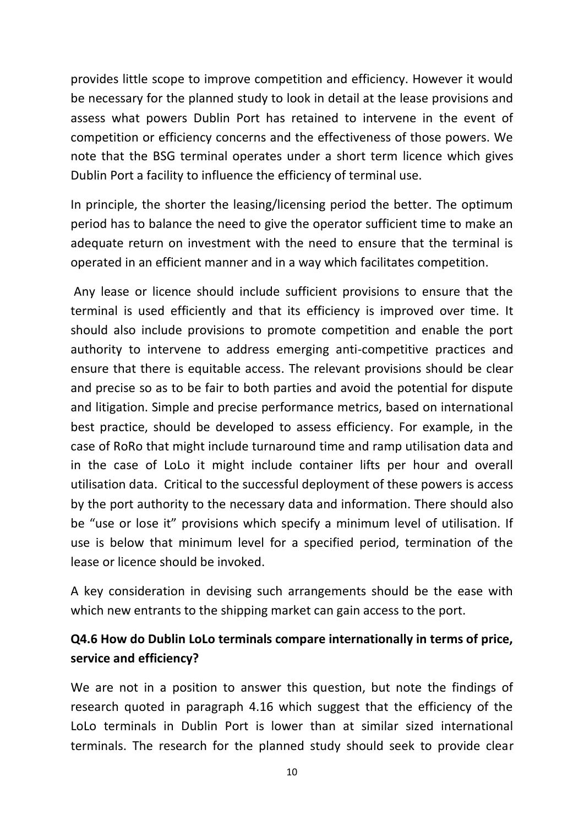provides little scope to improve competition and efficiency. However it would be necessary for the planned study to look in detail at the lease provisions and assess what powers Dublin Port has retained to intervene in the event of competition or efficiency concerns and the effectiveness of those powers. We note that the BSG terminal operates under a short term licence which gives Dublin Port a facility to influence the efficiency of terminal use.

In principle, the shorter the leasing/licensing period the better. The optimum period has to balance the need to give the operator sufficient time to make an adequate return on investment with the need to ensure that the terminal is operated in an efficient manner and in a way which facilitates competition.

Any lease or licence should include sufficient provisions to ensure that the terminal is used efficiently and that its efficiency is improved over time. It should also include provisions to promote competition and enable the port authority to intervene to address emerging anti-competitive practices and ensure that there is equitable access. The relevant provisions should be clear and precise so as to be fair to both parties and avoid the potential for dispute and litigation. Simple and precise performance metrics, based on international best practice, should be developed to assess efficiency. For example, in the case of RoRo that might include turnaround time and ramp utilisation data and in the case of LoLo it might include container lifts per hour and overall utilisation data. Critical to the successful deployment of these powers is access by the port authority to the necessary data and information. There should also be "use or lose it" provisions which specify a minimum level of utilisation. If use is below that minimum level for a specified period, termination of the lease or licence should be invoked.

A key consideration in devising such arrangements should be the ease with which new entrants to the shipping market can gain access to the port.

### **Q4.6 How do Dublin LoLo terminals compare internationally in terms of price, service and efficiency?**

We are not in a position to answer this question, but note the findings of research quoted in paragraph 4.16 which suggest that the efficiency of the LoLo terminals in Dublin Port is lower than at similar sized international terminals. The research for the planned study should seek to provide clear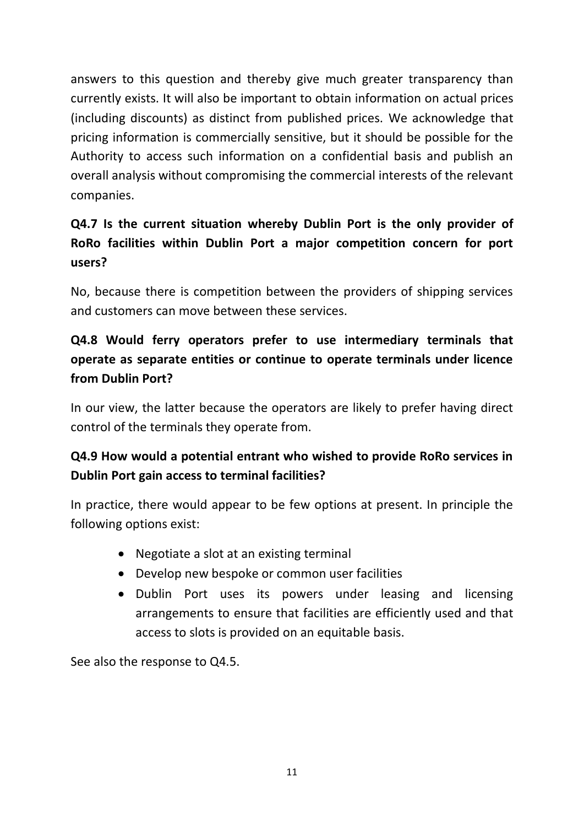answers to this question and thereby give much greater transparency than currently exists. It will also be important to obtain information on actual prices (including discounts) as distinct from published prices. We acknowledge that pricing information is commercially sensitive, but it should be possible for the Authority to access such information on a confidential basis and publish an overall analysis without compromising the commercial interests of the relevant companies.

# **Q4.7 Is the current situation whereby Dublin Port is the only provider of RoRo facilities within Dublin Port a major competition concern for port users?**

No, because there is competition between the providers of shipping services and customers can move between these services.

# **Q4.8 Would ferry operators prefer to use intermediary terminals that operate as separate entities or continue to operate terminals under licence from Dublin Port?**

In our view, the latter because the operators are likely to prefer having direct control of the terminals they operate from.

# **Q4.9 How would a potential entrant who wished to provide RoRo services in Dublin Port gain access to terminal facilities?**

In practice, there would appear to be few options at present. In principle the following options exist:

- Negotiate a slot at an existing terminal
- Develop new bespoke or common user facilities
- Dublin Port uses its powers under leasing and licensing arrangements to ensure that facilities are efficiently used and that access to slots is provided on an equitable basis.

See also the response to Q4.5.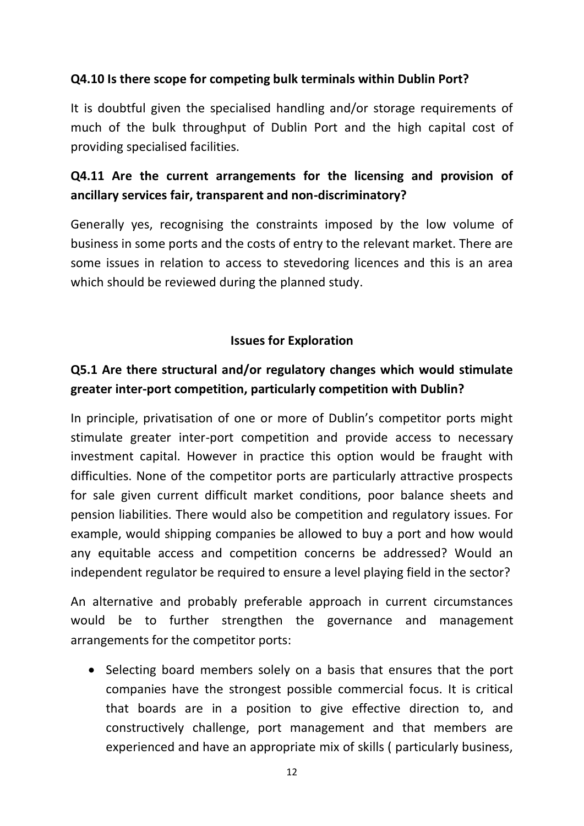#### **Q4.10 Is there scope for competing bulk terminals within Dublin Port?**

It is doubtful given the specialised handling and/or storage requirements of much of the bulk throughput of Dublin Port and the high capital cost of providing specialised facilities.

### **Q4.11 Are the current arrangements for the licensing and provision of ancillary services fair, transparent and non-discriminatory?**

Generally yes, recognising the constraints imposed by the low volume of business in some ports and the costs of entry to the relevant market. There are some issues in relation to access to stevedoring licences and this is an area which should be reviewed during the planned study.

#### **Issues for Exploration**

### **Q5.1 Are there structural and/or regulatory changes which would stimulate greater inter-port competition, particularly competition with Dublin?**

In principle, privatisation of one or more of Dublin's competitor ports might stimulate greater inter-port competition and provide access to necessary investment capital. However in practice this option would be fraught with difficulties. None of the competitor ports are particularly attractive prospects for sale given current difficult market conditions, poor balance sheets and pension liabilities. There would also be competition and regulatory issues. For example, would shipping companies be allowed to buy a port and how would any equitable access and competition concerns be addressed? Would an independent regulator be required to ensure a level playing field in the sector?

An alternative and probably preferable approach in current circumstances would be to further strengthen the governance and management arrangements for the competitor ports:

• Selecting board members solely on a basis that ensures that the port companies have the strongest possible commercial focus. It is critical that boards are in a position to give effective direction to, and constructively challenge, port management and that members are experienced and have an appropriate mix of skills ( particularly business,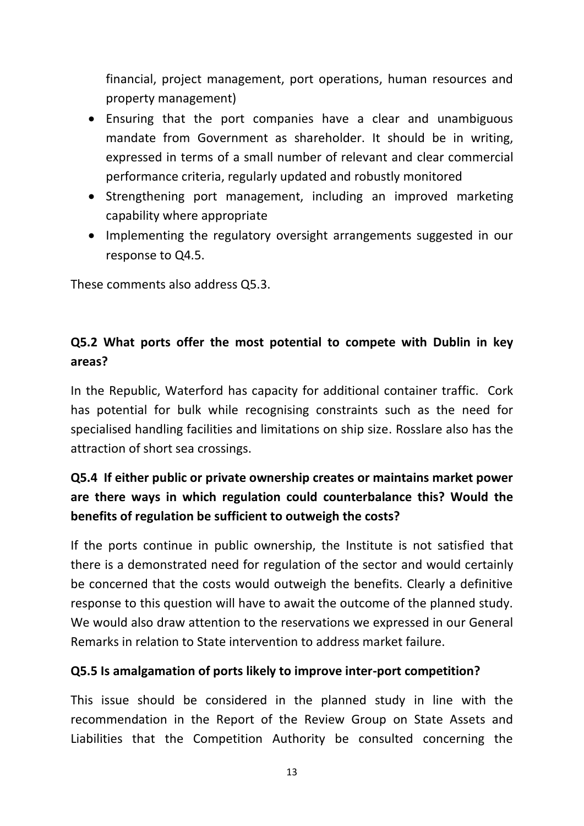financial, project management, port operations, human resources and property management)

- Ensuring that the port companies have a clear and unambiguous mandate from Government as shareholder. It should be in writing, expressed in terms of a small number of relevant and clear commercial performance criteria, regularly updated and robustly monitored
- Strengthening port management, including an improved marketing capability where appropriate
- Implementing the regulatory oversight arrangements suggested in our response to Q4.5.

These comments also address Q5.3.

## **Q5.2 What ports offer the most potential to compete with Dublin in key areas?**

In the Republic, Waterford has capacity for additional container traffic. Cork has potential for bulk while recognising constraints such as the need for specialised handling facilities and limitations on ship size. Rosslare also has the attraction of short sea crossings.

## **Q5.4 If either public or private ownership creates or maintains market power are there ways in which regulation could counterbalance this? Would the benefits of regulation be sufficient to outweigh the costs?**

If the ports continue in public ownership, the Institute is not satisfied that there is a demonstrated need for regulation of the sector and would certainly be concerned that the costs would outweigh the benefits. Clearly a definitive response to this question will have to await the outcome of the planned study. We would also draw attention to the reservations we expressed in our General Remarks in relation to State intervention to address market failure.

#### **Q5.5 Is amalgamation of ports likely to improve inter-port competition?**

This issue should be considered in the planned study in line with the recommendation in the Report of the Review Group on State Assets and Liabilities that the Competition Authority be consulted concerning the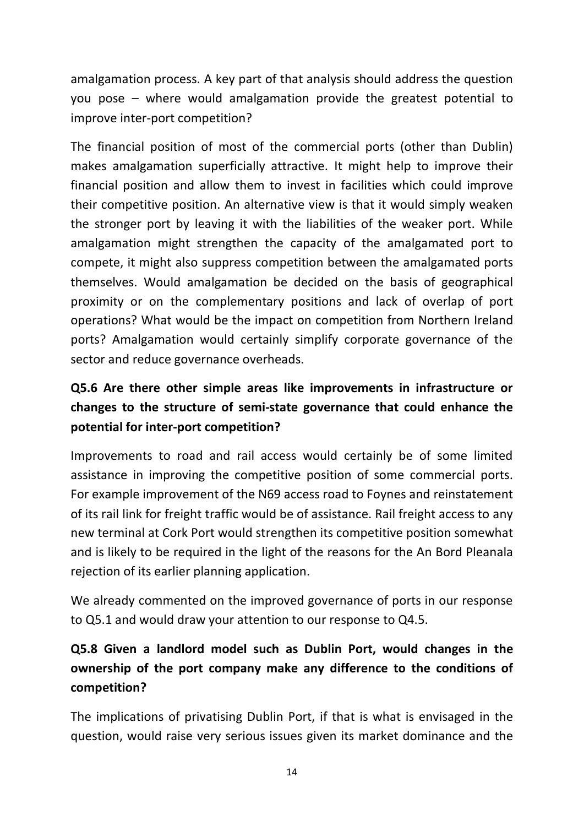amalgamation process. A key part of that analysis should address the question you pose – where would amalgamation provide the greatest potential to improve inter-port competition?

The financial position of most of the commercial ports (other than Dublin) makes amalgamation superficially attractive. It might help to improve their financial position and allow them to invest in facilities which could improve their competitive position. An alternative view is that it would simply weaken the stronger port by leaving it with the liabilities of the weaker port. While amalgamation might strengthen the capacity of the amalgamated port to compete, it might also suppress competition between the amalgamated ports themselves. Would amalgamation be decided on the basis of geographical proximity or on the complementary positions and lack of overlap of port operations? What would be the impact on competition from Northern Ireland ports? Amalgamation would certainly simplify corporate governance of the sector and reduce governance overheads.

# **Q5.6 Are there other simple areas like improvements in infrastructure or changes to the structure of semi-state governance that could enhance the potential for inter-port competition?**

Improvements to road and rail access would certainly be of some limited assistance in improving the competitive position of some commercial ports. For example improvement of the N69 access road to Foynes and reinstatement of its rail link for freight traffic would be of assistance. Rail freight access to any new terminal at Cork Port would strengthen its competitive position somewhat and is likely to be required in the light of the reasons for the An Bord Pleanala rejection of its earlier planning application.

We already commented on the improved governance of ports in our response to Q5.1 and would draw your attention to our response to Q4.5.

# **Q5.8 Given a landlord model such as Dublin Port, would changes in the ownership of the port company make any difference to the conditions of competition?**

The implications of privatising Dublin Port, if that is what is envisaged in the question, would raise very serious issues given its market dominance and the